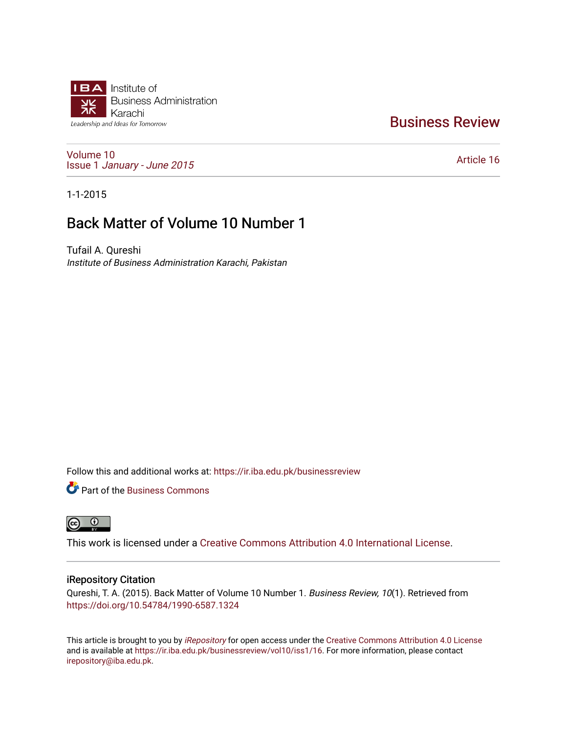

## [Business Review](https://ir.iba.edu.pk/businessreview)

[Volume 10](https://ir.iba.edu.pk/businessreview/vol10) Issue 1 [January - June 2015](https://ir.iba.edu.pk/businessreview/vol10/iss1) 

[Article 16](https://ir.iba.edu.pk/businessreview/vol10/iss1/16) 

1-1-2015

# Back Matter of Volume 10 Number 1

Tufail A. Qureshi Institute of Business Administration Karachi, Pakistan

Follow this and additional works at: [https://ir.iba.edu.pk/businessreview](https://ir.iba.edu.pk/businessreview?utm_source=ir.iba.edu.pk%2Fbusinessreview%2Fvol10%2Fiss1%2F16&utm_medium=PDF&utm_campaign=PDFCoverPages) 

**P** Part of the [Business Commons](http://network.bepress.com/hgg/discipline/622?utm_source=ir.iba.edu.pk%2Fbusinessreview%2Fvol10%2Fiss1%2F16&utm_medium=PDF&utm_campaign=PDFCoverPages)



This work is licensed under a [Creative Commons Attribution 4.0 International License](https://creativecommons.org/licenses/by/4.0/).

### iRepository Citation

Qureshi, T. A. (2015). Back Matter of Volume 10 Number 1. Business Review, 10(1). Retrieved from <https://doi.org/10.54784/1990-6587.1324>

This article is brought to you by [iRepository](https://ir.iba.edu.pk/) for open access under the Creative Commons Attribution 4.0 License and is available at <https://ir.iba.edu.pk/businessreview/vol10/iss1/16>. For more information, please contact [irepository@iba.edu.pk.](mailto:irepository@iba.edu.pk)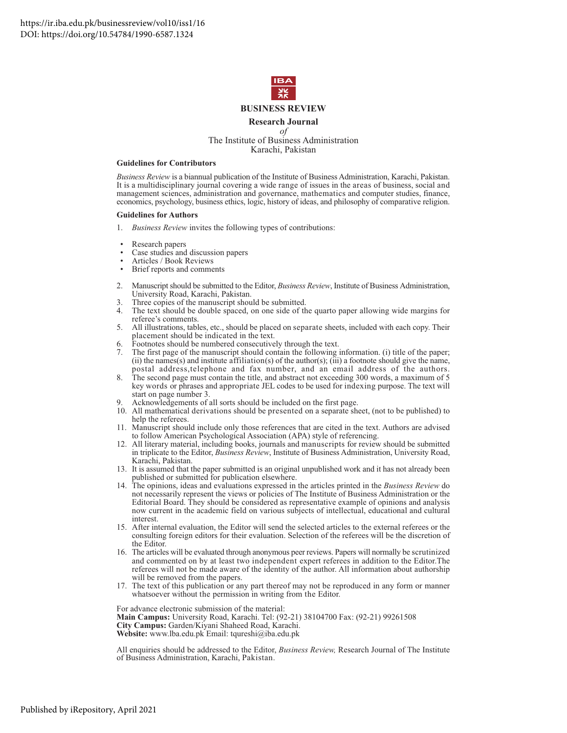

*of* The Institute of Business Administration Karachi, Pakistan

#### **Guidelines for Contributors**

*Business Review* is a biannual publication of the Institute of Business Administration, Karachi, Pakistan. It is a multidisciplinary journal covering a wide range of issues in the areas of business, social and management sciences, administration and governance, mathematics and computer studies, finance, economics, psychology, business ethics, logic, history of ideas, and philosophy of comparative religion.

#### **Guidelines for Authors**

- 1. *Business Review* invites the following types of contributions:
- Research papers
- Case studies and discussion papers
- Articles / Book Reviews
- Brief reports and comments
- 2. Manuscript should be submitted to the Editor, *Business Review*, Institute of Business Administration, University Road, Karachi, Pakistan.
- 3. Three copies of the manuscript should be submitted.
- 4. The text should be double spaced, on one side of the quarto paper allowing wide margins for referee's comments.
- 5. All illustrations, tables, etc., should be placed on separate sheets, included with each copy. Their placement should be indicated in the text.
- Footnotes should be numbered consecutively through the text.
- 7. The first page of the manuscript should contain the following information. (i) title of the paper; (ii) the names(s) and institute affiliation(s) of the author(s); (iii) a footnote should give the name, postal address,telephone and fax number, and an email address of the authors.
- 8. The second page must contain the title, and abstract not exceeding 300 words, a maximum of 5 key words or phrases and appropriate JEL codes to be used for indexing purpose. The text will start on page number 3.
- 9. Acknowledgements of all sorts should be included on the first page.
- 10. All mathematical derivations should be presented on a separate sheet, (not to be published) to help the referees.
- 11. Manuscript should include only those references that are cited in the text. Authors are advised to follow American Psychological Association (APA) style of referencing.
- 12. All literary material, including books, journals and manuscripts for review should be submitted in triplicate to the Editor, *Business Review*, Institute of Business Administration, University Road, Karachi, Pakistan.
- 13. It is assumed that the paper submitted is an original unpublished work and it has not already been published or submitted for publication elsewhere.
- 14. The opinions, ideas and evaluations expressed in the articles printed in the *Business Review* do not necessarily represent the views or policies of The Institute of Business Administration or the Editorial Board. They should be considered as representative example of opinions and analysis now current in the academic field on various subjects of intellectual, educational and cultural interest.
- 15. After internal evaluation, the Editor will send the selected articles to the external referees or the consulting foreign editors for their evaluation. Selection of the referees will be the discretion of the Editor.
- 16. The articles will be evaluated through anonymous peer reviews. Papers will normally be scrutinized and commented on by at least two independent expert referees in addition to the Editor.The referees will not be made aware of the identity of the author. All information about authorship will be removed from the papers.
- 17. The text of this publication or any part thereof may not be reproduced in any form or manner whatsoever without the permission in writing from the Editor.

For advance electronic submission of the material: **Main Campus:** University Road, Karachi. Tel: (92-21) 38104700 Fax: (92-21) 99261508 **City Campus:** Garden/Kiyani Shaheed Road, Karachi. **Website:** www.lba.edu.pk Email: tqureshi@iba.edu.pk

All enquiries should be addressed to the Editor, *Business Review,* Research Journal of The Institute of Business Administration, Karachi, Pakistan.